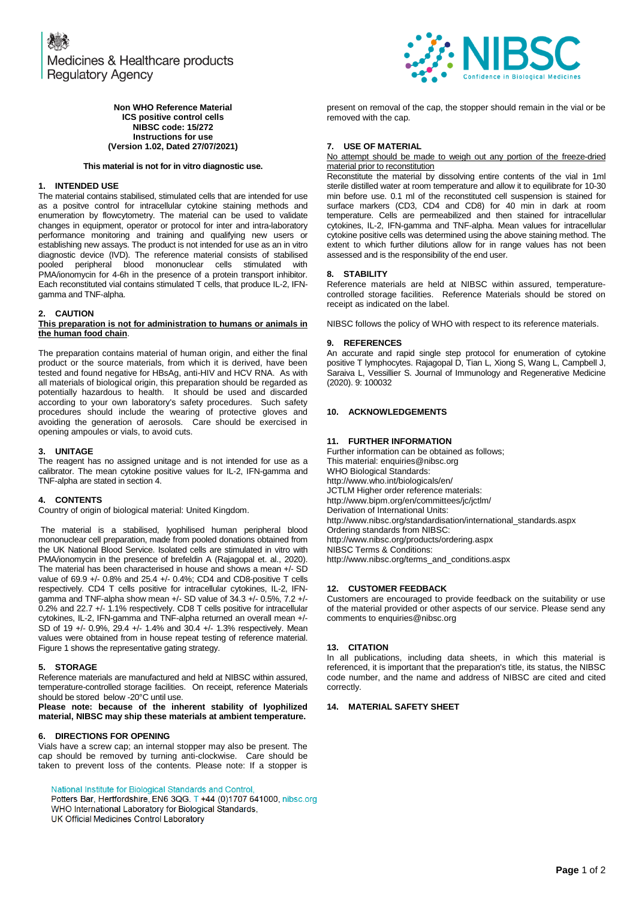

### **Non WHO Reference Material ICS positive control cells NIBSC code: 15/272 Instructions for use (Version 1.02, Dated 27/07/2021)**

### **This material is not for in vitro diagnostic use.**

## **1. INTENDED USE**

The material contains stabilised, stimulated cells that are intended for use as a positve control for intracellular cytokine staining methods and enumeration by flowcytometry. The material can be used to validate changes in equipment, operator or protocol for inter and intra-laboratory performance monitoring and training and qualifying new users or establishing new assays. The product is not intended for use as an in vitro diagnostic device (IVD). The reference material consists of stabilised pooled peripheral blood mononuclear cells stimulated with PMA/ionomycin for 4-6h in the presence of a protein transport inhibitor. Each reconstituted vial contains stimulated T cells, that produce IL-2, IFNgamma and TNF-alpha.

### **2. CAUTION**

### **This preparation is not for administration to humans or animals in the human food chain**.

The preparation contains material of human origin, and either the final product or the source materials, from which it is derived, have been tested and found negative for HBsAg, anti-HIV and HCV RNA. As with all materials of biological origin, this preparation should be regarded as potentially hazardous to health. It should be used and discarded according to your own laboratory's safety procedures. Such safety procedures should include the wearing of protective gloves and avoiding the generation of aerosols. Care should be exercised in opening ampoules or vials, to avoid cuts.

### **3. UNITAGE**

The reagent has no assigned unitage and is not intended for use as a calibrator. The mean cytokine positive values for IL-2, IFN-gamma and TNF-alpha are stated in section 4.

## **4. CONTENTS**

Country of origin of biological material: United Kingdom.

The material is a stabilised, lyophilised human peripheral blood mononuclear cell preparation, made from pooled donations obtained from the UK National Blood Service. Isolated cells are stimulated in vitro with PMA/ionomycin in the presence of brefeldin A (Rajagopal et. al., 2020). The material has been characterised in house and shows a mean +/- SD value of 69.9 +/- 0.8% and 25.4 +/- 0.4%; CD4 and CD8-positive T cells respectively. CD4 T cells positive for intracellular cytokines, IL-2, IFNgamma and TNF-alpha show mean +/- SD value of 34.3 +/- 0.5%, 7.2 +/- 0.2% and 22.7 +/- 1.1% respectively. CD8 T cells positive for intracellular cytokines, IL-2, IFN-gamma and TNF-alpha returned an overall mean +/-SD of 19 +/- 0.9%, 29.4 +/- 1.4% and 30.4 +/- 1.3% respectively. Mean values were obtained from in house repeat testing of reference material. Figure 1 shows the representative gating strategy.

## **5. STORAGE**

Reference materials are manufactured and held at NIBSC within assured, temperature-controlled storage facilities. On receipt, reference Materials should be stored below -20°C until use.

**Please note: because of the inherent stability of lyophilized material, NIBSC may ship these materials at ambient temperature.**

#### **6. DIRECTIONS FOR OPENING**

Vials have a screw cap; an internal stopper may also be present. The cap should be removed by turning anti-clockwise. Care should be taken to prevent loss of the contents. Please note: If a stopper is

National Institute for Biological Standards and Control,

Potters Bar, Hertfordshire, EN6 3QG. T +44 (0)1707 641000, nibsc.org WHO International Laboratory for Biological Standards, UK Official Medicines Control Laboratory

present on removal of the cap, the stopper should remain in the vial or be removed with the cap.

## **7. USE OF MATERIAL**

No attempt should be made to weigh out any portion of the freeze-dried material prior to reconstitution

Reconstitute the material by dissolving entire contents of the vial in 1ml sterile distilled water at room temperature and allow it to equilibrate for 10-30 min before use. 0.1 ml of the reconstituted cell suspension is stained for surface markers (CD3, CD4 and CD8) for 40 min in dark at room temperature. Cells are permeabilized and then stained for intracellular cytokines, IL-2, IFN-gamma and TNF-alpha. Mean values for intracellular cytokine positive cells was determined using the above staining method. The extent to which further dilutions allow for in range values has not been assessed and is the responsibility of the end user.

### **8. STABILITY**

Reference materials are held at NIBSC within assured, temperaturecontrolled storage facilities. Reference Materials should be stored on receipt as indicated on the label.

NIBSC follows the policy of WHO with respect to its reference materials.

### **9. REFERENCES**

An accurate and rapid single step protocol for enumeration of cytokine positive T lymphocytes. Rajagopal D, Tian L, Xiong S, Wang L, Campbell J, Saraiva L, Vessillier S. Journal of Immunology and Regenerative Medicine (2020). 9: 100032

## **10. ACKNOWLEDGEMENTS**

### **11. FURTHER INFORMATION**

Further information can be obtained as follows; This material[: enquiries@nibsc.org](mailto:enquiries@nibsc.org) WHO Biological Standards: <http://www.who.int/biologicals/en/> JCTLM Higher order reference materials: <http://www.bipm.org/en/committees/jc/jctlm/> Derivation of International Units: [http://www.nibsc.org/standardisation/international\\_standards.aspx](http://www.nibsc.org/standardisation/international_standards.aspx) Ordering standards from NIBSC: <http://www.nibsc.org/products/ordering.aspx> NIBSC Terms & Conditions:

[http://www.nibsc.org/terms\\_and\\_conditions.aspx](http://www.nibsc.ac.uk/terms_and_conditions.aspx)

# **12. CUSTOMER FEEDBACK**

Customers are encouraged to provide feedback on the suitability or use of the material provided or other aspects of our service. Please send any comments t[o enquiries@nibsc.org](mailto:enquiries@nibsc.org)

## **13. CITATION**

In all publications, including data sheets, in which this material is referenced, it is important that the preparation's title, its status, the NIBSC code number, and the name and address of NIBSC are cited and cited correctly.

## **14. MATERIAL SAFETY SHEET**